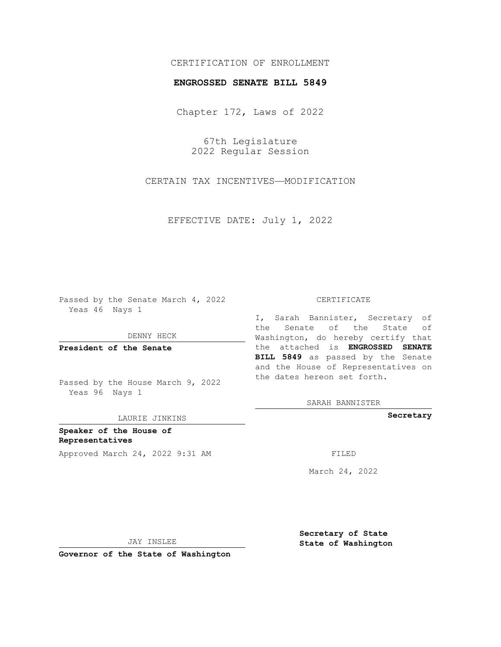## CERTIFICATION OF ENROLLMENT

## **ENGROSSED SENATE BILL 5849**

Chapter 172, Laws of 2022

67th Legislature 2022 Regular Session

CERTAIN TAX INCENTIVES—MODIFICATION

EFFECTIVE DATE: July 1, 2022

Passed by the Senate March 4, 2022 Yeas 46 Nays 1

DENNY HECK

**President of the Senate**

Passed by the House March 9, 2022 Yeas 96 Nays 1

LAURIE JINKINS

**Speaker of the House of Representatives** Approved March 24, 2022 9:31 AM FILED

## CERTIFICATE

I, Sarah Bannister, Secretary of the Senate of the State of Washington, do hereby certify that the attached is **ENGROSSED SENATE BILL 5849** as passed by the Senate and the House of Representatives on the dates hereon set forth.

SARAH BANNISTER

**Secretary**

March 24, 2022

JAY INSLEE

**Governor of the State of Washington**

**Secretary of State State of Washington**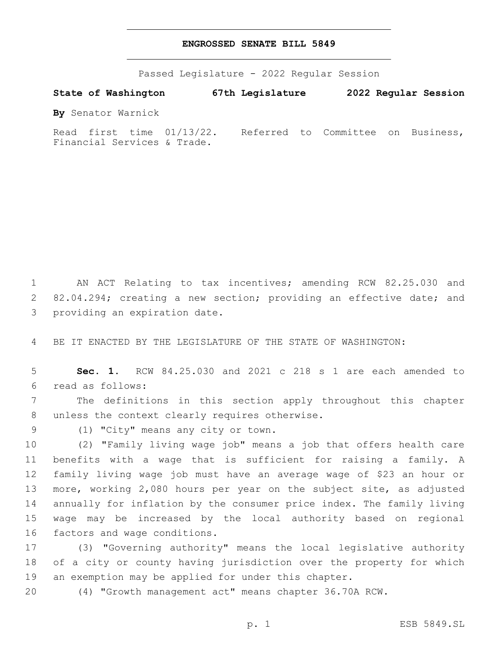## **ENGROSSED SENATE BILL 5849**

Passed Legislature - 2022 Regular Session

**State of Washington 67th Legislature 2022 Regular Session**

**By** Senator Warnick

Read first time 01/13/22. Referred to Committee on Business, Financial Services & Trade.

1 AN ACT Relating to tax incentives; amending RCW 82.25.030 and 2 82.04.294; creating a new section; providing an effective date; and 3 providing an expiration date.

4 BE IT ENACTED BY THE LEGISLATURE OF THE STATE OF WASHINGTON:

5 **Sec. 1.** RCW 84.25.030 and 2021 c 218 s 1 are each amended to read as follows:6

7 The definitions in this section apply throughout this chapter 8 unless the context clearly requires otherwise.

9 (1) "City" means any city or town.

 (2) "Family living wage job" means a job that offers health care benefits with a wage that is sufficient for raising a family. A family living wage job must have an average wage of \$23 an hour or more, working 2,080 hours per year on the subject site, as adjusted annually for inflation by the consumer price index. The family living wage may be increased by the local authority based on regional 16 factors and wage conditions.

17 (3) "Governing authority" means the local legislative authority 18 of a city or county having jurisdiction over the property for which 19 an exemption may be applied for under this chapter.

20 (4) "Growth management act" means chapter 36.70A RCW.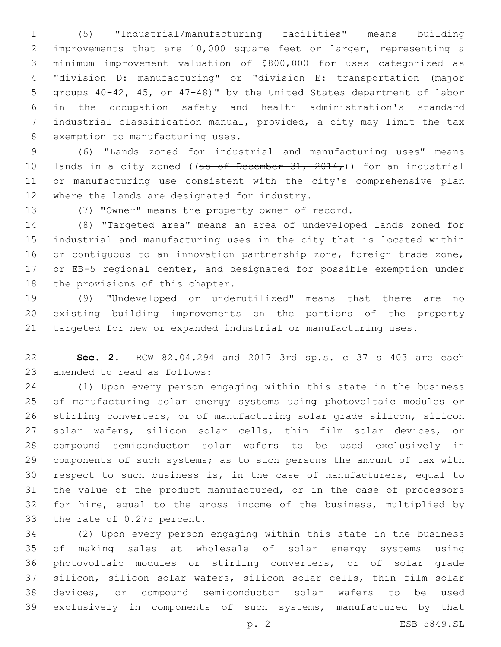(5) "Industrial/manufacturing facilities" means building improvements that are 10,000 square feet or larger, representing a minimum improvement valuation of \$800,000 for uses categorized as "division D: manufacturing" or "division E: transportation (major groups 40-42, 45, or 47-48)" by the United States department of labor in the occupation safety and health administration's standard industrial classification manual, provided, a city may limit the tax 8 exemption to manufacturing uses.

 (6) "Lands zoned for industrial and manufacturing uses" means 10 lands in a city zoned ((as of December  $31, 2014$ )) for an industrial or manufacturing use consistent with the city's comprehensive plan 12 where the lands are designated for industry.

(7) "Owner" means the property owner of record.

 (8) "Targeted area" means an area of undeveloped lands zoned for industrial and manufacturing uses in the city that is located within 16 or contiguous to an innovation partnership zone, foreign trade zone, or EB-5 regional center, and designated for possible exemption under 18 the provisions of this chapter.

 (9) "Undeveloped or underutilized" means that there are no existing building improvements on the portions of the property targeted for new or expanded industrial or manufacturing uses.

 **Sec. 2.** RCW 82.04.294 and 2017 3rd sp.s. c 37 s 403 are each 23 amended to read as follows:

 (1) Upon every person engaging within this state in the business of manufacturing solar energy systems using photovoltaic modules or stirling converters, or of manufacturing solar grade silicon, silicon solar wafers, silicon solar cells, thin film solar devices, or compound semiconductor solar wafers to be used exclusively in 29 components of such systems; as to such persons the amount of tax with respect to such business is, in the case of manufacturers, equal to the value of the product manufactured, or in the case of processors for hire, equal to the gross income of the business, multiplied by 33 the rate of 0.275 percent.

 (2) Upon every person engaging within this state in the business of making sales at wholesale of solar energy systems using photovoltaic modules or stirling converters, or of solar grade silicon, silicon solar wafers, silicon solar cells, thin film solar devices, or compound semiconductor solar wafers to be used exclusively in components of such systems, manufactured by that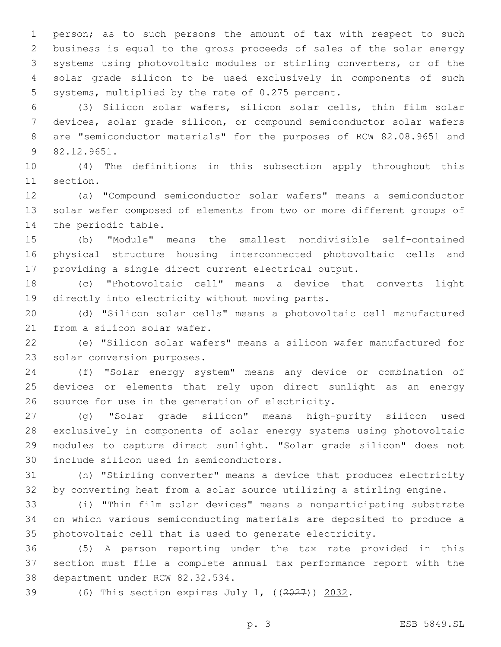person; as to such persons the amount of tax with respect to such business is equal to the gross proceeds of sales of the solar energy systems using photovoltaic modules or stirling converters, or of the solar grade silicon to be used exclusively in components of such 5 systems, multiplied by the rate of 0.275 percent.

 (3) Silicon solar wafers, silicon solar cells, thin film solar devices, solar grade silicon, or compound semiconductor solar wafers are "semiconductor materials" for the purposes of RCW 82.08.9651 and 82.12.9651.9

 (4) The definitions in this subsection apply throughout this 11 section.

 (a) "Compound semiconductor solar wafers" means a semiconductor solar wafer composed of elements from two or more different groups of 14 the periodic table.

 (b) "Module" means the smallest nondivisible self-contained physical structure housing interconnected photovoltaic cells and providing a single direct current electrical output.

 (c) "Photovoltaic cell" means a device that converts light 19 directly into electricity without moving parts.

 (d) "Silicon solar cells" means a photovoltaic cell manufactured 21 from a silicon solar wafer.

 (e) "Silicon solar wafers" means a silicon wafer manufactured for 23 solar conversion purposes.

 (f) "Solar energy system" means any device or combination of devices or elements that rely upon direct sunlight as an energy 26 source for use in the generation of electricity.

 (g) "Solar grade silicon" means high-purity silicon used exclusively in components of solar energy systems using photovoltaic modules to capture direct sunlight. "Solar grade silicon" does not 30 include silicon used in semiconductors.

 (h) "Stirling converter" means a device that produces electricity by converting heat from a solar source utilizing a stirling engine.

 (i) "Thin film solar devices" means a nonparticipating substrate on which various semiconducting materials are deposited to produce a photovoltaic cell that is used to generate electricity.

 (5) A person reporting under the tax rate provided in this section must file a complete annual tax performance report with the 38 department under RCW 82.32.534.

(6) This section expires July 1, ((2027)) 2032.

p. 3 ESB 5849.SL